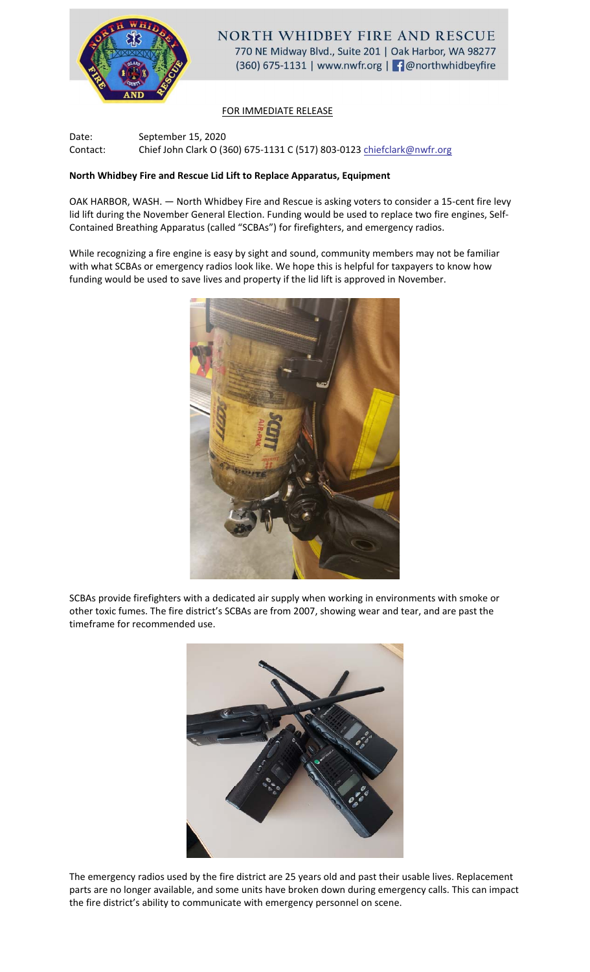

## FOR IMMEDIATE RELEASE

Date: September 15, 2020 Contact: Chief John Clark O (360) 675-1131 C (517) 803-0123 chiefclark@nwfr.org

## **North Whidbey Fire and Rescue Lid Lift to Replace Apparatus, Equipment**

OAK HARBOR, WASH. — North Whidbey Fire and Rescue is asking voters to consider a 15-cent fire levy lid lift during the November General Election. Funding would be used to replace two fire engines, Self-Contained Breathing Apparatus (called "SCBAs") for firefighters, and emergency radios.

While recognizing a fire engine is easy by sight and sound, community members may not be familiar with what SCBAs or emergency radios look like. We hope this is helpful for taxpayers to know how funding would be used to save lives and property if the lid lift is approved in November.



SCBAs provide firefighters with a dedicated air supply when working in environments with smoke or other toxic fumes. The fire district's SCBAs are from 2007, showing wear and tear, and are past the timeframe for recommended use.



The emergency radios used by the fire district are 25 years old and past their usable lives. Replacement parts are no longer available, and some units have broken down during emergency calls. This can impact the fire district's ability to communicate with emergency personnel on scene.